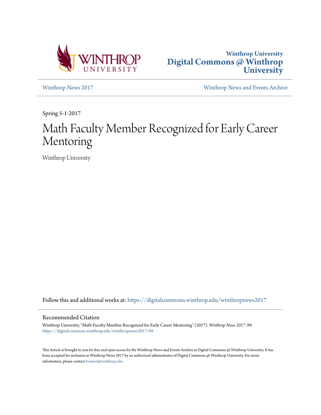



[Winthrop News 2017](https://digitalcommons.winthrop.edu/winthropnews2017?utm_source=digitalcommons.winthrop.edu%2Fwinthropnews2017%2F89&utm_medium=PDF&utm_campaign=PDFCoverPages) [Winthrop News and Events Archive](https://digitalcommons.winthrop.edu/winthropnewsarchives?utm_source=digitalcommons.winthrop.edu%2Fwinthropnews2017%2F89&utm_medium=PDF&utm_campaign=PDFCoverPages)

Spring 5-1-2017

# Math Faculty Member Recognized for Early Career Mentoring

Winthrop University

Follow this and additional works at: [https://digitalcommons.winthrop.edu/winthropnews2017](https://digitalcommons.winthrop.edu/winthropnews2017?utm_source=digitalcommons.winthrop.edu%2Fwinthropnews2017%2F89&utm_medium=PDF&utm_campaign=PDFCoverPages)

### Recommended Citation

Winthrop University, "Math Faculty Member Recognized for Early Career Mentoring" (2017). *Winthrop News 2017*. 89. [https://digitalcommons.winthrop.edu/winthropnews2017/89](https://digitalcommons.winthrop.edu/winthropnews2017/89?utm_source=digitalcommons.winthrop.edu%2Fwinthropnews2017%2F89&utm_medium=PDF&utm_campaign=PDFCoverPages)

This Article is brought to you for free and open access by the Winthrop News and Events Archive at Digital Commons @ Winthrop University. It has been accepted for inclusion in Winthrop News 2017 by an authorized administrator of Digital Commons @ Winthrop University. For more information, please contact [bramed@winthrop.edu](mailto:bramed@winthrop.edu).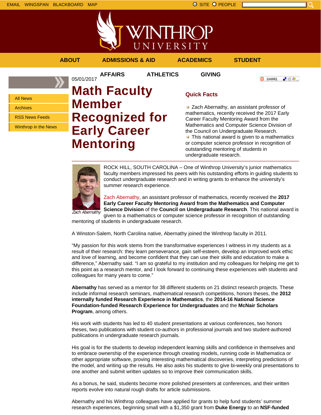



### **ABOUT ADMISSIONS & AID ACADEMICS STUDENT**

**O** SHARE 上脸身。

All News Archives

RSS News Feeds

Winthrop in the News

## **AFFAIRS ATHLETICS GIVING** 05/01/2017 **Math Faculty Member Recognized for Early Career Mentoring**

### **Quick Facts**

**Zach Abernathy, an assistant professor of** mathematics, recently received the 2017 Early Career Faculty Mentoring Award from the Mathematics and Computer Science Division of the Council on Undergraduate Research.  $\blacksquare$  This national award is given to a mathematics or computer science professor in recognition of outstanding mentoring of students in undergraduate research.



ROCK HILL, SOUTH CAROLINA – One of Winthrop University's junior mathematics faculty members impressed his peers with his outstanding efforts in guiding students to conduct undergraduate research and in writing grants to enhance the university's summer research experience.

Zach Abernathy Zach Abernathy, an assistant professor of mathematics, recently received the **2017 Early Career Faculty Mentoring Award from the Mathematics and Computer Science Division** of the **Council on Undergraduate Research**. This national award is given to a mathematics or computer science professor in recognition of outstanding

mentoring of students in undergraduate research.

A Winston-Salem, North Carolina native, Abernathy joined the Winthrop faculty in 2011.

"My passion for this work stems from the transformative experiences I witness in my students as a result of their research: they learn perseverance, gain self-esteem, develop an improved work ethic and love of learning, and become confident that they can use their skills and education to make a difference," Abernathy said. "I am so grateful to my institution and my colleagues for helping me get to this point as a research mentor, and I look forward to continuing these experiences with students and colleagues for many years to come."

**Abernathy** has served as a mentor for 38 different students on 21 distinct research projects. These include informal research seminars, mathematical research competitions, honors theses, the **2012 internally funded Research Experience in Mathematics**, the **2014-16 National Science Foundation-funded Research Experience for Undergraduates** and the **McNair Scholars Program**, among others.

His work with students has led to 40 student presentations at various conferences, two honors theses, two publications with student co-authors in professional journals and two student-authored publications in undergraduate research journals.

His goal is for the students to develop independent learning skills and confidence in themselves and to embrace ownership of the experience through creating models, running code in Mathematica or other appropriate software, proving interesting mathematical discoveries, interpreting predictions of the model, and writing up the results. He also asks his students to give bi-weekly oral presentations to one another and submit written updates so to improve their communication skills.

As a bonus, he said, students become more polished presenters at conferences, and their written reports evolve into natural rough drafts for article submissions.

Abernathy and his Winthrop colleagues have applied for grants to help fund students' summer research experiences, beginning small with a \$1,350 grant from **Duke Energy** to an **NSF-funded**